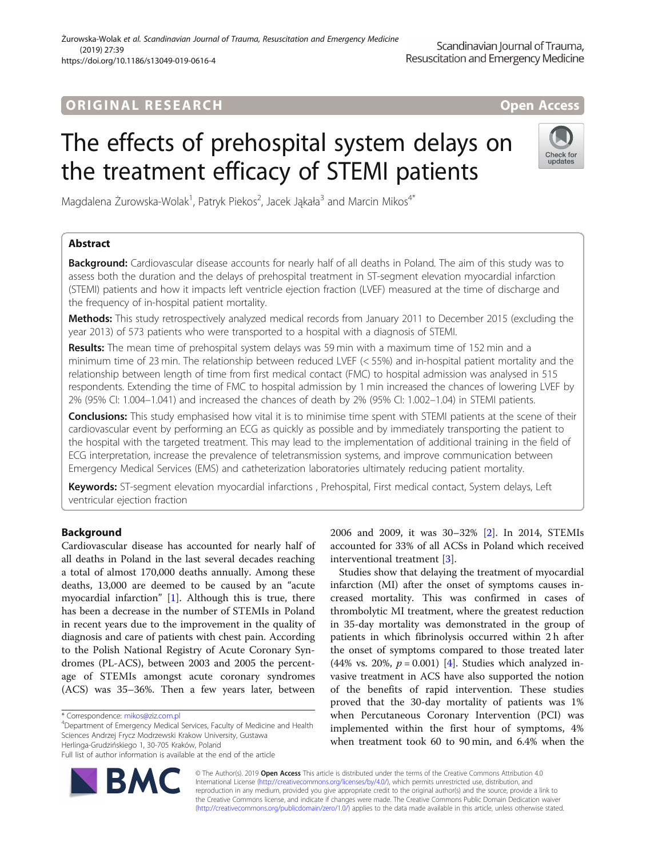# **ORIGINAL RESEARCH And Access** open Access

# The effects of prehospital system delays on the treatment efficacy of STEMI patients



Magdalena Żurowska-Wolak<sup>1</sup>, Patryk Piekos<sup>2</sup>, Jacek Jąkała<sup>3</sup> and Marcin Mikos<sup>4\*</sup>

# Abstract

**Background:** Cardiovascular disease accounts for nearly half of all deaths in Poland. The aim of this study was to assess both the duration and the delays of prehospital treatment in ST-segment elevation myocardial infarction (STEMI) patients and how it impacts left ventricle ejection fraction (LVEF) measured at the time of discharge and the frequency of in-hospital patient mortality.

Methods: This study retrospectively analyzed medical records from January 2011 to December 2015 (excluding the year 2013) of 573 patients who were transported to a hospital with a diagnosis of STEMI.

Results: The mean time of prehospital system delays was 59 min with a maximum time of 152 min and a minimum time of 23 min. The relationship between reduced LVEF (< 55%) and in-hospital patient mortality and the relationship between length of time from first medical contact (FMC) to hospital admission was analysed in 515 respondents. Extending the time of FMC to hospital admission by 1 min increased the chances of lowering LVEF by 2% (95% CI: 1.004–1.041) and increased the chances of death by 2% (95% CI: 1.002–1.04) in STEMI patients.

Conclusions: This study emphasised how vital it is to minimise time spent with STEMI patients at the scene of their cardiovascular event by performing an ECG as quickly as possible and by immediately transporting the patient to the hospital with the targeted treatment. This may lead to the implementation of additional training in the field of ECG interpretation, increase the prevalence of teletransmission systems, and improve communication between Emergency Medical Services (EMS) and catheterization laboratories ultimately reducing patient mortality.

Keywords: ST-segment elevation myocardial infarctions, Prehospital, First medical contact, System delays, Left ventricular ejection fraction

# Background

Cardiovascular disease has accounted for nearly half of all deaths in Poland in the last several decades reaching a total of almost 170,000 deaths annually. Among these deaths, 13,000 are deemed to be caused by an "acute myocardial infarction" [\[1](#page-5-0)]. Although this is true, there has been a decrease in the number of STEMIs in Poland in recent years due to the improvement in the quality of diagnosis and care of patients with chest pain. According to the Polish National Registry of Acute Coronary Syndromes (PL-ACS), between 2003 and 2005 the percentage of STEMIs amongst acute coronary syndromes (ACS) was 35–36%. Then a few years later, between

Department of Emergency Medical Services, Faculty of Medicine and Health Sciences Andrzej Frycz Modrzewski Krakow University, Gustawa Herlinga-Grudzińskiego 1, 30-705 Kraków, Poland Full list of author information is available at the end of the article

Studies show that delaying the treatment of myocardial infarction (MI) after the onset of symptoms causes increased mortality. This was confirmed in cases of thrombolytic MI treatment, where the greatest reduction in 35-day mortality was demonstrated in the group of patients in which fibrinolysis occurred within 2 h after the onset of symptoms compared to those treated later (44% vs. 20%,  $p = 0.001$ ) [\[4](#page-6-0)]. Studies which analyzed invasive treatment in ACS have also supported the notion of the benefits of rapid intervention. These studies proved that the 30-day mortality of patients was 1% when Percutaneous Coronary Intervention (PCI) was implemented within the first hour of symptoms, 4% when treatment took 60 to 90 min, and 6.4% when the



© The Author(s). 2019 **Open Access** This article is distributed under the terms of the Creative Commons Attribution 4.0 International License [\(http://creativecommons.org/licenses/by/4.0/](http://creativecommons.org/licenses/by/4.0/)), which permits unrestricted use, distribution, and reproduction in any medium, provided you give appropriate credit to the original author(s) and the source, provide a link to the Creative Commons license, and indicate if changes were made. The Creative Commons Public Domain Dedication waiver [\(http://creativecommons.org/publicdomain/zero/1.0/](http://creativecommons.org/publicdomain/zero/1.0/)) applies to the data made available in this article, unless otherwise stated.

<sup>\*</sup> Correspondence: [mikos@ziz.com.pl](mailto:mikos@ziz.com.pl) <sup>4</sup>

<sup>2006</sup> and 2009, it was 30–32% [[2\]](#page-5-0). In 2014, STEMIs accounted for 33% of all ACSs in Poland which received interventional treatment [[3\]](#page-6-0).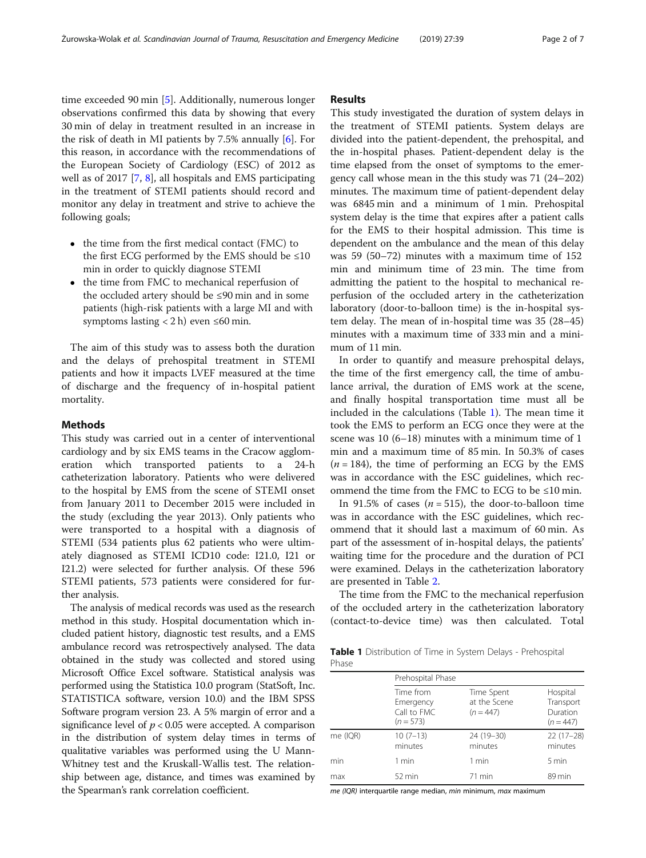time exceeded 90 min [\[5\]](#page-6-0). Additionally, numerous longer observations confirmed this data by showing that every 30 min of delay in treatment resulted in an increase in the risk of death in MI patients by 7.5% annually [\[6](#page-6-0)]. For this reason, in accordance with the recommendations of the European Society of Cardiology (ESC) of 2012 as well as of 2017 [[7,](#page-6-0) [8\]](#page-6-0), all hospitals and EMS participating in the treatment of STEMI patients should record and monitor any delay in treatment and strive to achieve the following goals;

- $\bullet$  the time from the first medical contact (FMC) to the first ECG performed by the EMS should be  $\leq 10$ min in order to quickly diagnose STEMI
- the time from FMC to mechanical reperfusion of the occluded artery should be ≤90 min and in some patients (high-risk patients with a large MI and with symptoms lasting  $<$  2 h) even  $\leq$  60 min.

The aim of this study was to assess both the duration and the delays of prehospital treatment in STEMI patients and how it impacts LVEF measured at the time of discharge and the frequency of in-hospital patient mortality.

### Methods

This study was carried out in a center of interventional cardiology and by six EMS teams in the Cracow agglomeration which transported patients to a 24-h catheterization laboratory. Patients who were delivered to the hospital by EMS from the scene of STEMI onset from January 2011 to December 2015 were included in the study (excluding the year 2013). Only patients who were transported to a hospital with a diagnosis of STEMI (534 patients plus 62 patients who were ultimately diagnosed as STEMI ICD10 code: I21.0, I21 or I21.2) were selected for further analysis. Of these 596 STEMI patients, 573 patients were considered for further analysis.

The analysis of medical records was used as the research method in this study. Hospital documentation which included patient history, diagnostic test results, and a EMS ambulance record was retrospectively analysed. The data obtained in the study was collected and stored using Microsoft Office Excel software. Statistical analysis was performed using the Statistica 10.0 program (StatSoft, Inc. STATISTICA software, version 10.0) and the IBM SPSS Software program version 23. A 5% margin of error and a significance level of  $p < 0.05$  were accepted. A comparison in the distribution of system delay times in terms of qualitative variables was performed using the U Mann-Whitney test and the Kruskall-Wallis test. The relationship between age, distance, and times was examined by the Spearman's rank correlation coefficient.

# Results

This study investigated the duration of system delays in the treatment of STEMI patients. System delays are divided into the patient-dependent, the prehospital, and the in-hospital phases. Patient-dependent delay is the time elapsed from the onset of symptoms to the emergency call whose mean in the this study was 71 (24–202) minutes. The maximum time of patient-dependent delay was 6845 min and a minimum of 1 min. Prehospital system delay is the time that expires after a patient calls for the EMS to their hospital admission. This time is dependent on the ambulance and the mean of this delay was 59 (50–72) minutes with a maximum time of 152 min and minimum time of 23 min. The time from admitting the patient to the hospital to mechanical reperfusion of the occluded artery in the catheterization laboratory (door-to-balloon time) is the in-hospital system delay. The mean of in-hospital time was 35 (28–45) minutes with a maximum time of 333 min and a minimum of 11 min.

In order to quantify and measure prehospital delays, the time of the first emergency call, the time of ambulance arrival, the duration of EMS work at the scene, and finally hospital transportation time must all be included in the calculations (Table 1). The mean time it took the EMS to perform an ECG once they were at the scene was 10 (6–18) minutes with a minimum time of 1 min and a maximum time of 85 min. In 50.3% of cases  $(n = 184)$ , the time of performing an ECG by the EMS was in accordance with the ESC guidelines, which recommend the time from the FMC to ECG to be ≤10 min.

In 91.5% of cases  $(n = 515)$ , the door-to-balloon time was in accordance with the ESC guidelines, which recommend that it should last a maximum of 60 min. As part of the assessment of in-hospital delays, the patients' waiting time for the procedure and the duration of PCI were examined. Delays in the catheterization laboratory are presented in Table [2.](#page-2-0)

The time from the FMC to the mechanical reperfusion of the occluded artery in the catheterization laboratory (contact-to-device time) was then calculated. Total

Table 1 Distribution of Time in System Delays - Prehospital Phase

|          | Prehospital Phase                                    |                                           |                                                  |  |  |  |  |
|----------|------------------------------------------------------|-------------------------------------------|--------------------------------------------------|--|--|--|--|
|          | Time from<br>Emergency<br>Call to FMC<br>$(n = 573)$ | Time Spent<br>at the Scene<br>$(n = 447)$ | Hospital<br>Transport<br>Duration<br>$(n = 447)$ |  |  |  |  |
| me (IQR) | $10(7-13)$<br>minutes                                | 24 (19-30)<br>minutes                     | $22(17-28)$<br>minutes                           |  |  |  |  |
| min      | 1 min                                                | 1 min                                     | 5 min                                            |  |  |  |  |
| max      | $52 \text{ min}$                                     | 71 min                                    | 89 min                                           |  |  |  |  |

me (IQR) interquartile range median, min minimum, max maximum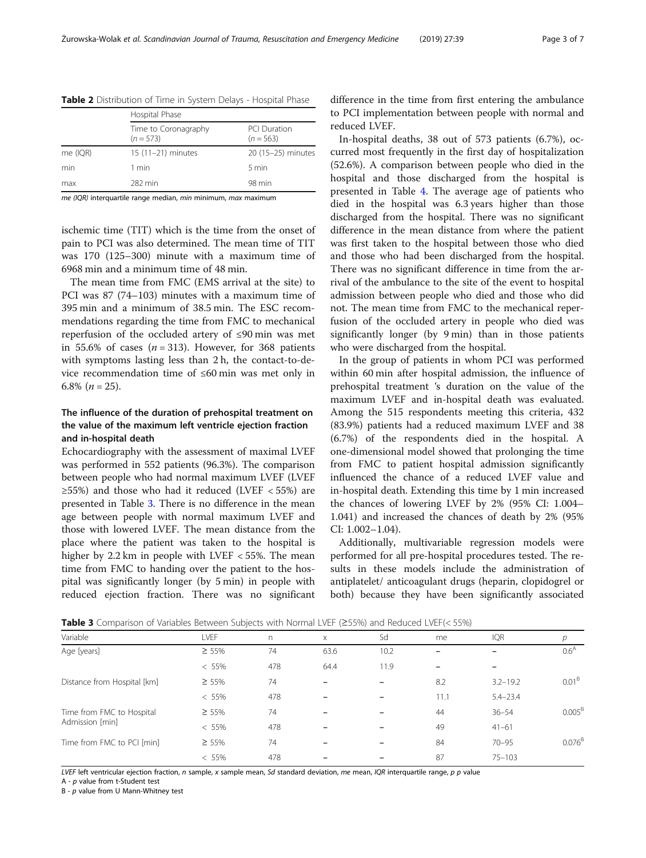|          | Hospital Phase                      |                                    |  |  |  |  |  |  |
|----------|-------------------------------------|------------------------------------|--|--|--|--|--|--|
|          | Time to Coronagraphy<br>$(n = 573)$ | <b>PCI Duration</b><br>$(n = 563)$ |  |  |  |  |  |  |
| me (IQR) | $15(11-21)$ minutes                 | 20 (15-25) minutes                 |  |  |  |  |  |  |
| min      | 1 min                               | 5 min                              |  |  |  |  |  |  |
| max      | 282 min                             | 98 min                             |  |  |  |  |  |  |
|          |                                     |                                    |  |  |  |  |  |  |

<span id="page-2-0"></span>Table 2 Distribution of Time in System Delays - Hospital Phase

me (IOR) interquartile range median, min minimum, max maximum

ischemic time (TIT) which is the time from the onset of pain to PCI was also determined. The mean time of TIT was 170 (125–300) minute with a maximum time of 6968 min and a minimum time of 48 min.

The mean time from FMC (EMS arrival at the site) to PCI was 87 (74–103) minutes with a maximum time of 395 min and a minimum of 38.5 min. The ESC recommendations regarding the time from FMC to mechanical reperfusion of the occluded artery of ≤90 min was met in 55.6% of cases  $(n = 313)$ . However, for 368 patients with symptoms lasting less than 2 h, the contact-to-device recommendation time of ≤60 min was met only in 6.8%  $(n = 25)$ .

# The influence of the duration of prehospital treatment on the value of the maximum left ventricle ejection fraction and in-hospital death

Echocardiography with the assessment of maximal LVEF was performed in 552 patients (96.3%). The comparison between people who had normal maximum LVEF (LVEF ≥55%) and those who had it reduced (LVEF < 55%) are presented in Table 3. There is no difference in the mean age between people with normal maximum LVEF and those with lowered LVEF. The mean distance from the place where the patient was taken to the hospital is higher by 2.2 km in people with LVEF < 55%. The mean time from FMC to handing over the patient to the hospital was significantly longer (by 5 min) in people with reduced ejection fraction. There was no significant

difference in the time from first entering the ambulance to PCI implementation between people with normal and reduced LVEF.

In-hospital deaths, 38 out of 573 patients (6.7%), occurred most frequently in the first day of hospitalization (52.6%). A comparison between people who died in the hospital and those discharged from the hospital is presented in Table [4.](#page-3-0) The average age of patients who died in the hospital was 6.3 years higher than those discharged from the hospital. There was no significant difference in the mean distance from where the patient was first taken to the hospital between those who died and those who had been discharged from the hospital. There was no significant difference in time from the arrival of the ambulance to the site of the event to hospital admission between people who died and those who did not. The mean time from FMC to the mechanical reperfusion of the occluded artery in people who died was significantly longer (by 9 min) than in those patients who were discharged from the hospital.

In the group of patients in whom PCI was performed within 60 min after hospital admission, the influence of prehospital treatment 's duration on the value of the maximum LVEF and in-hospital death was evaluated. Among the 515 respondents meeting this criteria, 432 (83.9%) patients had a reduced maximum LVEF and 38 (6.7%) of the respondents died in the hospital. A one-dimensional model showed that prolonging the time from FMC to patient hospital admission significantly influenced the chance of a reduced LVEF value and in-hospital death. Extending this time by 1 min increased the chances of lowering LVEF by 2% (95% CI: 1.004– 1.041) and increased the chances of death by 2% (95% CI: 1.002–1.04).

Additionally, multivariable regression models were performed for all pre-hospital procedures tested. The results in these models include the administration of antiplatelet/ anticoagulant drugs (heparin, clopidogrel or both) because they have been significantly associated

| Variable                                     | LVEF        | n   | X    | Sd   | me   | <b>IQR</b>   |                    |
|----------------------------------------------|-------------|-----|------|------|------|--------------|--------------------|
| Age [years]                                  | $\geq 55\%$ | 74  | 63.6 | 10.2 |      |              | 0.6 <sup>A</sup>   |
|                                              | $< 55\%$    | 478 | 64.4 | 11.9 |      |              |                    |
| Distance from Hospital [km]                  | $\geq 55\%$ | 74  |      |      | 8.2  | $3.2 - 19.2$ | 0.01 <sup>B</sup>  |
|                                              | $< 55\%$    | 478 |      |      | 11.1 | $5.4 - 23.4$ |                    |
| Time from FMC to Hospital<br>Admission [min] | $\geq 55\%$ | 74  |      |      | 44   | $36 - 54$    | 0.005 <sup>B</sup> |
|                                              | $< 55\%$    | 478 |      |      | 49   | $41 - 61$    |                    |
| Time from FMC to PCI [min]                   | $\geq 55\%$ | 74  |      |      | 84   | $70 - 95$    | $0.076^{B}$        |
|                                              | $< 55\%$    | 478 |      |      | 87   | $75 - 103$   |                    |

Table 3 Comparison of Variables Between Subjects with Normal LVEF (≥55%) and Reduced LVEF(< 55%)

LVEF left ventricular ejection fraction, n sample, x sample mean, Sd standard deviation, me mean, IQR interquartile range, p p value

A - p value from t-Student test

B - p value from U Mann-Whitney test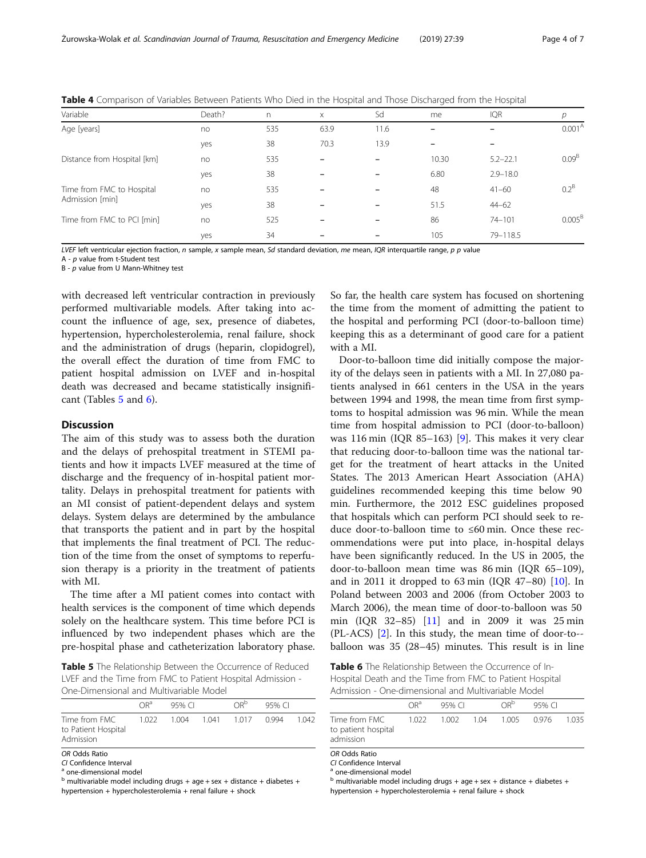| Variable                                     | Death? | $\Gamma$ | $\times$ | Sd   | me    | <b>IQR</b>   | р                  |
|----------------------------------------------|--------|----------|----------|------|-------|--------------|--------------------|
| Age [years]                                  | no     | 535      | 63.9     | 11.6 |       |              | 0.001 <sup>A</sup> |
|                                              | yes    | 38       | 70.3     | 13.9 |       |              |                    |
| Distance from Hospital [km]                  | no     | 535      |          |      | 10.30 | $5.2 - 22.1$ | $0.09^{B}$         |
|                                              | yes    | 38       |          |      | 6.80  | $2.9 - 18.0$ |                    |
| Time from FMC to Hospital<br>Admission [min] | no     | 535      |          |      | 48    | $41 - 60$    | $0.2^B$            |
|                                              | yes    | 38       |          |      | 51.5  | $44 - 62$    |                    |
| Time from FMC to PCI [min]                   | no     | 525      |          |      | 86    | $74 - 101$   | 0.005 <sup>B</sup> |
|                                              | yes    | 34       |          |      | 105   | 79-118.5     |                    |

<span id="page-3-0"></span>Table 4 Comparison of Variables Between Patients Who Died in the Hospital and Those Discharged from the Hospital

LVEF left ventricular ejection fraction,  $n$  sample, x sample mean, Sd standard deviation, me mean, IQR interquartile range,  $p$  p value

A -  $p$  value from t-Student test

B - p value from U Mann-Whitney test

with decreased left ventricular contraction in previously performed multivariable models. After taking into account the influence of age, sex, presence of diabetes, hypertension, hypercholesterolemia, renal failure, shock and the administration of drugs (heparin, clopidogrel), the overall effect the duration of time from FMC to patient hospital admission on LVEF and in-hospital death was decreased and became statistically insignificant (Tables 5 and 6).

# Discussion

The aim of this study was to assess both the duration and the delays of prehospital treatment in STEMI patients and how it impacts LVEF measured at the time of discharge and the frequency of in-hospital patient mortality. Delays in prehospital treatment for patients with an MI consist of patient-dependent delays and system delays. System delays are determined by the ambulance that transports the patient and in part by the hospital that implements the final treatment of PCI. The reduction of the time from the onset of symptoms to reperfusion therapy is a priority in the treatment of patients with MI.

The time after a MI patient comes into contact with health services is the component of time which depends solely on the healthcare system. This time before PCI is influenced by two independent phases which are the pre-hospital phase and catheterization laboratory phase.

Table 5 The Relationship Between the Occurrence of Reduced LVEF and the Time from FMC to Patient Hospital Admission - One-Dimensional and Multivariable Model

|                                                                                                                                                                                                                             | $\bigcap R^a$ | 95% CI |       | ∩R <sup>b</sup> | 95% CI |         |
|-----------------------------------------------------------------------------------------------------------------------------------------------------------------------------------------------------------------------------|---------------|--------|-------|-----------------|--------|---------|
| Time from FMC<br>to Patient Hospital<br>Admission                                                                                                                                                                           | 1 0 2 2       | 1.004  | 1 041 | 1017            | 0.994  | 1 () 42 |
| OR Odds Ratio<br>CL Confidence Interval<br><sup>a</sup> one-dimensional model<br>$b$ multivariable model including drugs + age + sex + distance + diabetes +<br>hypertension + hypercholesterolemia + renal failure + shock |               |        |       |                 |        |         |

So far, the health care system has focused on shortening the time from the moment of admitting the patient to the hospital and performing PCI (door-to-balloon time) keeping this as a determinant of good care for a patient with a MI.

Door-to-balloon time did initially compose the majority of the delays seen in patients with a MI. In 27,080 patients analysed in 661 centers in the USA in the years between 1994 and 1998, the mean time from first symptoms to hospital admission was 96 min. While the mean time from hospital admission to PCI (door-to-balloon) was 116 min (IQR 85–163) [\[9](#page-6-0)]. This makes it very clear that reducing door-to-balloon time was the national target for the treatment of heart attacks in the United States. The 2013 American Heart Association (AHA) guidelines recommended keeping this time below 90 min. Furthermore, the 2012 ESC guidelines proposed that hospitals which can perform PCI should seek to reduce door-to-balloon time to ≤60 min. Once these recommendations were put into place, in-hospital delays have been significantly reduced. In the US in 2005, the door-to-balloon mean time was 86 min (IQR 65–109), and in 2011 it dropped to  $63 \text{ min}$  (IQR  $47-80$ ) [[10\]](#page-6-0). In Poland between 2003 and 2006 (from October 2003 to March 2006), the mean time of door-to-balloon was 50 min (IQR 32–85) [\[11](#page-6-0)] and in 2009 it was 25 min (PL-ACS) [\[2](#page-5-0)]. In this study, the mean time of door-to- balloon was 35 (28–45) minutes. This result is in line

Table 6 The Relationship Between the Occurrence of In-Hospital Death and the Time from FMC to Patient Hospital Admission - One-dimensional and Multivariable Model

|                                                                                                                                                              | $OR^a$ | 95% CI           |  | $\bigcap R^{\mathsf{b}}$ | 95% CI |       |  |
|--------------------------------------------------------------------------------------------------------------------------------------------------------------|--------|------------------|--|--------------------------|--------|-------|--|
| Time from FMC<br>to patient hospital<br>admission                                                                                                            | 1.022  | 1.002 1.04 1.005 |  |                          | 0.976  | 1.035 |  |
| OR Odds Ratio<br>CI Confidence Interval<br><sup>a</sup> one-dimensional model<br>$b$ multivariable model including drugs + age + sex + distance + diabetes + |        |                  |  |                          |        |       |  |

hypertension + hypercholesterolemia + renal failure + shock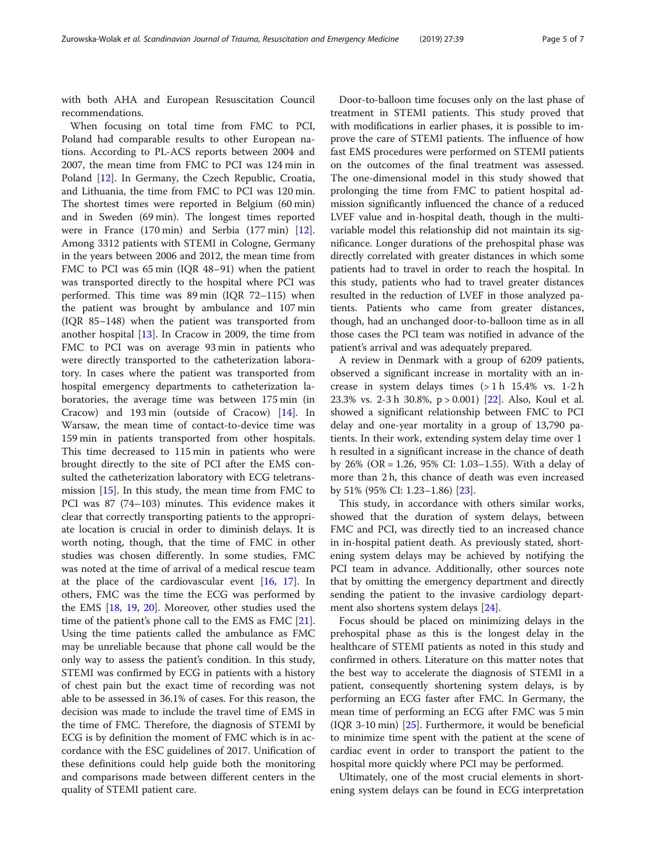with both AHA and European Resuscitation Council recommendations.

When focusing on total time from FMC to PCI, Poland had comparable results to other European nations. According to PL-ACS reports between 2004 and 2007, the mean time from FMC to PCI was 124 min in Poland [\[12](#page-6-0)]. In Germany, the Czech Republic, Croatia, and Lithuania, the time from FMC to PCI was 120 min. The shortest times were reported in Belgium (60 min) and in Sweden (69 min). The longest times reported were in France (170 min) and Serbia (177 min) [\[12](#page-6-0)]. Among 3312 patients with STEMI in Cologne, Germany in the years between 2006 and 2012, the mean time from FMC to PCI was 65 min (IQR 48–91) when the patient was transported directly to the hospital where PCI was performed. This time was 89 min (IQR 72–115) when the patient was brought by ambulance and 107 min (IQR 85–148) when the patient was transported from another hospital [\[13](#page-6-0)]. In Cracow in 2009, the time from FMC to PCI was on average 93 min in patients who were directly transported to the catheterization laboratory. In cases where the patient was transported from hospital emergency departments to catheterization laboratories, the average time was between 175 min (in Cracow) and 193 min (outside of Cracow) [[14](#page-6-0)]. In Warsaw, the mean time of contact-to-device time was 159 min in patients transported from other hospitals. This time decreased to 115 min in patients who were brought directly to the site of PCI after the EMS consulted the catheterization laboratory with ECG teletransmission [[15](#page-6-0)]. In this study, the mean time from FMC to PCI was 87 (74–103) minutes. This evidence makes it clear that correctly transporting patients to the appropriate location is crucial in order to diminish delays. It is worth noting, though, that the time of FMC in other studies was chosen differently. In some studies, FMC was noted at the time of arrival of a medical rescue team at the place of the cardiovascular event [\[16](#page-6-0), [17\]](#page-6-0). In others, FMC was the time the ECG was performed by the EMS [[18](#page-6-0), [19](#page-6-0), [20](#page-6-0)]. Moreover, other studies used the time of the patient's phone call to the EMS as FMC [\[21](#page-6-0)]. Using the time patients called the ambulance as FMC may be unreliable because that phone call would be the only way to assess the patient's condition. In this study, STEMI was confirmed by ECG in patients with a history of chest pain but the exact time of recording was not able to be assessed in 36.1% of cases. For this reason, the decision was made to include the travel time of EMS in the time of FMC. Therefore, the diagnosis of STEMI by ECG is by definition the moment of FMC which is in accordance with the ESC guidelines of 2017. Unification of these definitions could help guide both the monitoring and comparisons made between different centers in the quality of STEMI patient care.

Door-to-balloon time focuses only on the last phase of treatment in STEMI patients. This study proved that with modifications in earlier phases, it is possible to improve the care of STEMI patients. The influence of how fast EMS procedures were performed on STEMI patients on the outcomes of the final treatment was assessed. The one-dimensional model in this study showed that prolonging the time from FMC to patient hospital admission significantly influenced the chance of a reduced LVEF value and in-hospital death, though in the multivariable model this relationship did not maintain its significance. Longer durations of the prehospital phase was directly correlated with greater distances in which some patients had to travel in order to reach the hospital. In this study, patients who had to travel greater distances resulted in the reduction of LVEF in those analyzed patients. Patients who came from greater distances, though, had an unchanged door-to-balloon time as in all those cases the PCI team was notified in advance of the patient's arrival and was adequately prepared.

A review in Denmark with a group of 6209 patients, observed a significant increase in mortality with an increase in system delays times (> 1 h 15.4% vs. 1-2 h 23.3% vs. 2-3 h 30.8%, p > 0.001) [\[22](#page-6-0)]. Also, Koul et al. showed a significant relationship between FMC to PCI delay and one-year mortality in a group of 13,790 patients. In their work, extending system delay time over 1 h resulted in a significant increase in the chance of death by 26% (OR = 1.26, 95% CI: 1.03–1.55). With a delay of more than 2 h, this chance of death was even increased by 51% (95% CI: 1.23–1.86) [\[23](#page-6-0)].

This study, in accordance with others similar works, showed that the duration of system delays, between FMC and PCI, was directly tied to an increased chance in in-hospital patient death. As previously stated, shortening system delays may be achieved by notifying the PCI team in advance. Additionally, other sources note that by omitting the emergency department and directly sending the patient to the invasive cardiology department also shortens system delays [[24\]](#page-6-0).

Focus should be placed on minimizing delays in the prehospital phase as this is the longest delay in the healthcare of STEMI patients as noted in this study and confirmed in others. Literature on this matter notes that the best way to accelerate the diagnosis of STEMI in a patient, consequently shortening system delays, is by performing an ECG faster after FMC. In Germany, the mean time of performing an ECG after FMC was 5 min (IQR 3-10 min) [\[25\]](#page-6-0). Furthermore, it would be beneficial to minimize time spent with the patient at the scene of cardiac event in order to transport the patient to the hospital more quickly where PCI may be performed.

Ultimately, one of the most crucial elements in shortening system delays can be found in ECG interpretation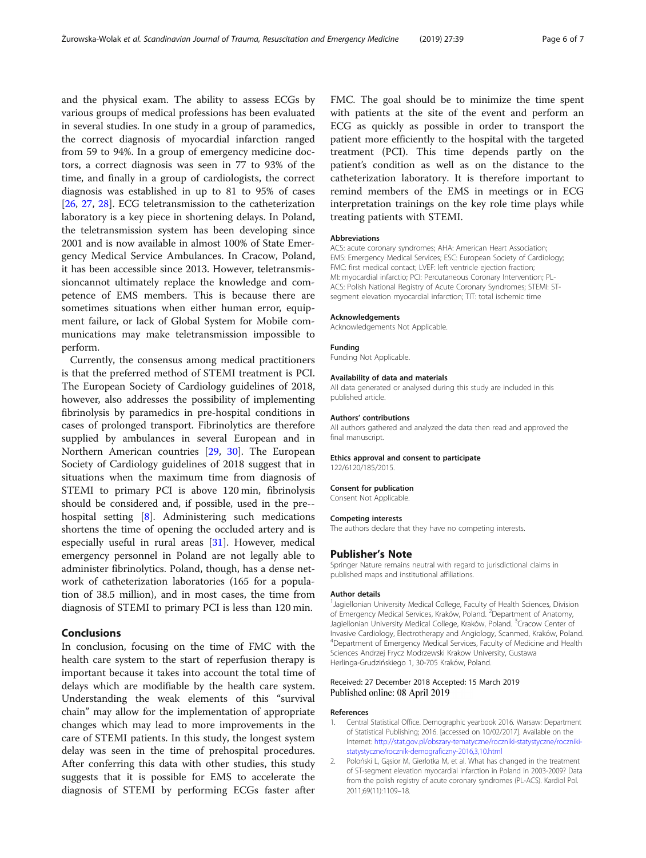<span id="page-5-0"></span>and the physical exam. The ability to assess ECGs by various groups of medical professions has been evaluated in several studies. In one study in a group of paramedics, the correct diagnosis of myocardial infarction ranged from 59 to 94%. In a group of emergency medicine doctors, a correct diagnosis was seen in 77 to 93% of the time, and finally in a group of cardiologists, the correct diagnosis was established in up to 81 to 95% of cases [[26,](#page-6-0) [27](#page-6-0), [28](#page-6-0)]. ECG teletransmission to the catheterization laboratory is a key piece in shortening delays. In Poland, the teletransmission system has been developing since 2001 and is now available in almost 100% of State Emergency Medical Service Ambulances. In Cracow, Poland, it has been accessible since 2013. However, teletransmissioncannot ultimately replace the knowledge and competence of EMS members. This is because there are sometimes situations when either human error, equipment failure, or lack of Global System for Mobile communications may make teletransmission impossible to perform.

Currently, the consensus among medical practitioners is that the preferred method of STEMI treatment is PCI. The European Society of Cardiology guidelines of 2018, however, also addresses the possibility of implementing fibrinolysis by paramedics in pre-hospital conditions in cases of prolonged transport. Fibrinolytics are therefore supplied by ambulances in several European and in Northern American countries [\[29,](#page-6-0) [30](#page-6-0)]. The European Society of Cardiology guidelines of 2018 suggest that in situations when the maximum time from diagnosis of STEMI to primary PCI is above 120 min, fibrinolysis should be considered and, if possible, used in the pre- hospital setting [\[8\]](#page-6-0). Administering such medications shortens the time of opening the occluded artery and is especially useful in rural areas [[31\]](#page-6-0). However, medical emergency personnel in Poland are not legally able to administer fibrinolytics. Poland, though, has a dense network of catheterization laboratories (165 for a population of 38.5 million), and in most cases, the time from diagnosis of STEMI to primary PCI is less than 120 min.

# Conclusions

In conclusion, focusing on the time of FMC with the health care system to the start of reperfusion therapy is important because it takes into account the total time of delays which are modifiable by the health care system. Understanding the weak elements of this "survival chain" may allow for the implementation of appropriate changes which may lead to more improvements in the care of STEMI patients. In this study, the longest system delay was seen in the time of prehospital procedures. After conferring this data with other studies, this study suggests that it is possible for EMS to accelerate the diagnosis of STEMI by performing ECGs faster after

FMC. The goal should be to minimize the time spent with patients at the site of the event and perform an ECG as quickly as possible in order to transport the patient more efficiently to the hospital with the targeted treatment (PCI). This time depends partly on the patient's condition as well as on the distance to the catheterization laboratory. It is therefore important to remind members of the EMS in meetings or in ECG interpretation trainings on the key role time plays while treating patients with STEMI.

#### Abbreviations

ACS: acute coronary syndromes; AHA: American Heart Association; EMS: Emergency Medical Services; ESC: European Society of Cardiology; FMC: first medical contact; LVEF: left ventricle ejection fraction; MI: myocardial infarctio; PCI: Percutaneous Coronary Intervention; PL-ACS: Polish National Registry of Acute Coronary Syndromes; STEMI: STsegment elevation myocardial infarction; TIT: total ischemic time

#### Acknowledgements

Acknowledgements Not Applicable.

#### Funding

Funding Not Applicable.

#### Availability of data and materials

All data generated or analysed during this study are included in this published article.

#### Authors' contributions

All authors gathered and analyzed the data then read and approved the final manuscript.

#### Ethics approval and consent to participate

122/6120/185/2015.

### Consent for publication

Consent Not Applicable.

#### Competing interests

The authors declare that they have no competing interests.

#### Publisher's Note

Springer Nature remains neutral with regard to jurisdictional claims in published maps and institutional affiliations.

#### Author details

<sup>1</sup> Jagiellonian University Medical College, Faculty of Health Sciences, Division of Emergency Medical Services, Kraków, Poland. <sup>2</sup> Department of Anatomy, Jagiellonian University Medical College, Kraków, Poland. <sup>3</sup>Cracow Center of Invasive Cardiology, Electrotherapy and Angiology, Scanmed, Kraków, Poland. 4 Department of Emergency Medical Services, Faculty of Medicine and Health Sciences Andrzej Frycz Modrzewski Krakow University, Gustawa Herlinga-Grudzińskiego 1, 30-705 Kraków, Poland.

#### Received: 27 December 2018 Accepted: 15 March 2019 Published online: 08 April 2019

#### References

- 1. Central Statistical Office. Demographic yearbook 2016. Warsaw: Department of Statistical Publishing; 2016. [accessed on 10/02/2017]. Available on the Internet: http://stat.gov.pl/obszary-tematyczne/roczniki-statystyczne/rocznikistatystyczne/rocznik-demograficzny-2016,3,10.html
- 2. Poloński L, Gąsior M, Gierlotka M, et al. What has changed in the treatment of ST-segment elevation myocardial infarction in Poland in 2003-2009? Data from the polish registry of acute coronary syndromes (PL-ACS). Kardiol Pol. 2011;69(11):1109–18.